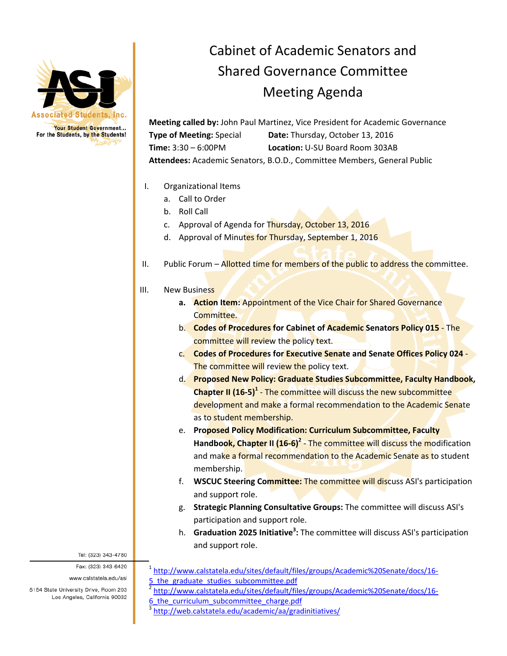

## Cabinet of Academic Senators and Shared Governance Committee Meeting Agenda

**Meeting called by:** John Paul Martinez, Vice President for Academic Governance **Type of Meeting:** Special **Date:** Thursday, October 13, 2016 **Time:** 3:30 – 6:00PM **Location:** U‐SU Board Room 303AB **Attendees:** Academic Senators, B.O.D., Committee Members, General Public

- I. Organizational Items
	- a. Call to Order
	- b. Roll Call
	- c. Approval of Agenda for Thursday, October 13, 2016
	- d. Approval of Minutes for Thursday, September 1, 2016
- II. Public Forum Allotted time for members of the public to address the committee.

## III. New Business

- **a. Action Item:** Appointment of the Vice Chair for Shared Governance Committee.
- b. **Codes of Procedures for Cabinet of Academic Senators Policy 015** ‐ The committee will review the policy text.
- c. **Codes of Procedures for Executive Senate and Senate Offices Policy 024** ‐ The committee will review the policy text.
- d. **Proposed New Policy: Graduate Studies Subcommittee, Faculty Handbook, Chapter II (16‐5)<sup>1</sup>** ‐ The committee will discuss the new subcommittee development and make a formal recommendation to the Academic Senate as to student membership.
- e. **Proposed Policy Modification: Curriculum Subcommittee, Faculty Handbook, Chapter II (16‐6)2** ‐ The committee will discuss the modification and make a formal recommendation to the Academic Senate as to student membership.
- f. **WSCUC Steering Committee:** The committee will discuss ASI's participation and support role.
- g. **Strategic Planning Consultative Groups:** The committee will discuss ASI's participation and support role.
- h. **Graduation 2025 Initiative<sup>3</sup> :** The committee will discuss ASI's participation and support role.

5154 State University Drive, Room 203 Los Angeles, California 90032

- Tel: (323) 343-4780<br>
Fax: (323) 343-6420<br>
www.calstatela.edu/sites/default/files/groups/Academic%20Senate/docs/16-5 the graduate studies subcommittee.pdf
	- http://www.calstatela.edu/sites/default/files/groups/Academic%20Senate/docs/16-6 the curriculum subcommittee charge.pdf

http://web.calstatela.edu/academic/aa/gradinitiatives/